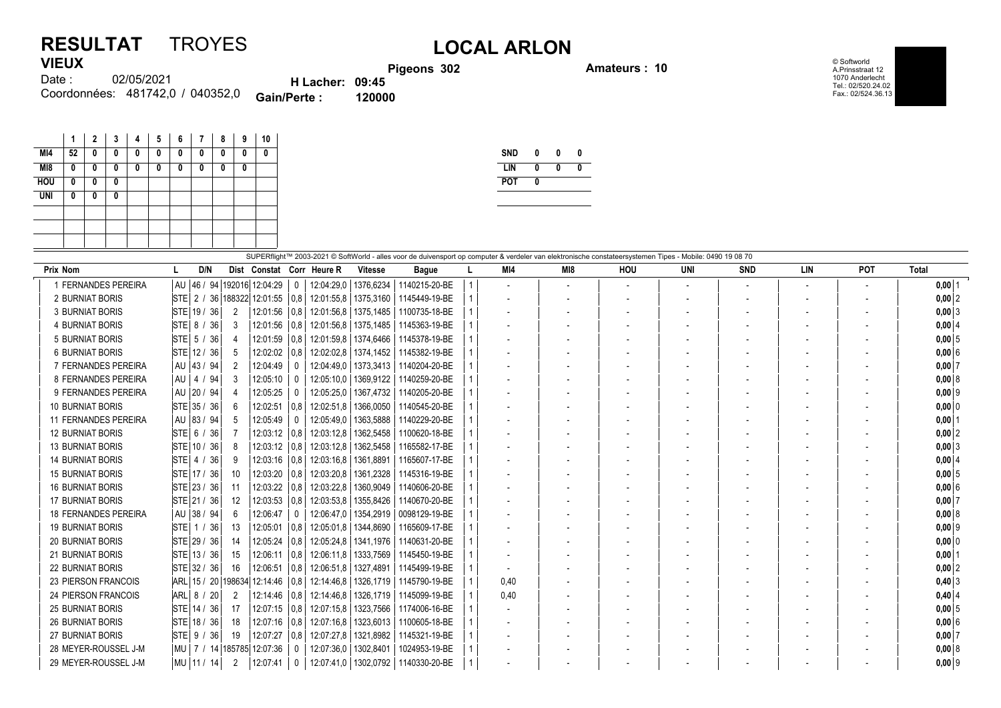## **RESULTAT** TROYES **LOCAL ARLON VIEUX**

**Pigeons 302 Amateurs : 10**

© Softworld A.Prinsstraat 12 1070 Anderlecht Tel.: 02/520.24.02 Fax.: 02/524.36.13

| .      |                                  |                        |        |
|--------|----------------------------------|------------------------|--------|
| Date : | 02/05/2021                       | <b>H</b> Lacher: 09:45 |        |
|        | Coordonnées: 481742.0 / 040352.0 | <b>Gain/Perte:</b>     | 120000 |

|            | 1  | 2 | 3 | 4 | 5 | 6 | 7 | 8 | 9 | 10           |
|------------|----|---|---|---|---|---|---|---|---|--------------|
| MI4        | 52 | 0 | 0 | 0 | 0 | 0 | 0 | 0 | 0 | 0            |
| M18        | 0  | 0 | 0 | 0 | 0 | 0 | 0 | 0 | 0 |              |
| <b>HOU</b> | 0  | 0 | 0 |   |   |   |   |   |   |              |
| <b>UNI</b> | 0  | 0 | 0 |   |   |   |   |   |   |              |
|            |    |   |   |   |   |   |   |   |   |              |
|            |    |   |   |   |   |   |   |   |   |              |
|            |    |   |   |   |   |   |   |   |   |              |
|            |    |   |   |   |   |   |   |   |   | $Q$ unmm $Q$ |

| <b>SND</b> |   | n |  |
|------------|---|---|--|
| LIN        | 0 | Λ |  |
| <b>POT</b> |   |   |  |
|            |   |   |  |

| SUPERflight™ 2003-2021 © SoftWorld - alles voor de duivensport op computer & verdeler van elektronische constateersystemen Tipes - Mobile: 0490 19 08 70<br>Total<br>Prix Nom<br>D/N<br>M14<br>MI8<br><b>UNI</b><br><b>SND</b><br><b>LIN</b><br><b>POT</b><br>Dist Constat Corr Heure R<br><b>HOU</b><br><b>Vitesse</b><br><b>Bague</b><br>  46 / 94   192016   12:04:29<br>12:04:29.0   1376.6234 |                               |    |                        |               |            |           |               |  |      |                          |  |  |  |  |                          |           |
|----------------------------------------------------------------------------------------------------------------------------------------------------------------------------------------------------------------------------------------------------------------------------------------------------------------------------------------------------------------------------------------------------|-------------------------------|----|------------------------|---------------|------------|-----------|---------------|--|------|--------------------------|--|--|--|--|--------------------------|-----------|
| 1 FERNANDES PEREIRA                                                                                                                                                                                                                                                                                                                                                                                | l AU                          |    |                        |               |            |           | 1140215-20-BE |  |      |                          |  |  |  |  | $\overline{\phantom{a}}$ | $0,00$ 1  |
| 2 BURNIAT BORIS                                                                                                                                                                                                                                                                                                                                                                                    | STE <br>2/                    |    | 36   188322   12:01:55 | 0.8           | 12:01:55,8 | 1375,3160 | 1145449-19-BE |  |      | $\overline{\phantom{a}}$ |  |  |  |  |                          | $0,00$  2 |
| <b>3 BURNIAT BORIS</b>                                                                                                                                                                                                                                                                                                                                                                             | STE 19/<br>36                 | 2  | 12:01:56   0.8         |               | 12:01:56.8 | 1375,1485 | 1100735-18-BE |  |      |                          |  |  |  |  |                          | $0,00$ 3  |
| <b>4 BURNIAT BORIS</b>                                                                                                                                                                                                                                                                                                                                                                             | $STE$ 8 /<br>36               | 3  | 12:01:56   0.8         |               | 12:01:56.8 | 1375.1485 | 1145363-19-BE |  |      |                          |  |  |  |  |                          | 0,0014    |
| <b>5 BURNIAT BORIS</b>                                                                                                                                                                                                                                                                                                                                                                             | $STE$ 5 /<br>36               |    | $12:01:59$ 0.8         |               | 12:01:59,8 | 1374,6466 | 1145378-19-BE |  |      |                          |  |  |  |  |                          | $0,00$ 5  |
| <b>6 BURNIAT BORIS</b>                                                                                                                                                                                                                                                                                                                                                                             | STE 12 / 36                   |    | $12:02:02$ 0.8         |               | 12:02:02.8 | 1374.1452 | 1145382-19-BE |  |      |                          |  |  |  |  |                          | 0,006     |
| 7 FERNANDES PEREIRA                                                                                                                                                                                                                                                                                                                                                                                | AU 43 / 94                    | 2  | 12:04:49               |               | 12:04:49,0 | 1373,3413 | 1140204-20-BE |  |      |                          |  |  |  |  |                          | $0,00$ 7  |
| 8 FERNANDES PEREIRA                                                                                                                                                                                                                                                                                                                                                                                | l AU<br> 4 <br>-94            | 3  | 12:05:10               | $\Omega$      | 12:05:10.0 | 1369.9122 | 1140259-20-BE |  |      |                          |  |  |  |  |                          | 0,00 8    |
| 9 FERNANDES PEREIRA                                                                                                                                                                                                                                                                                                                                                                                | 20/94<br>AU                   |    | 12:05:25               |               | 12:05:25.0 | 1367,4732 | 1140205-20-BE |  |      |                          |  |  |  |  |                          | $0,00$ 9  |
| <b>10 BURNIAT BORIS</b>                                                                                                                                                                                                                                                                                                                                                                            | STE 35 / 36                   | 6  | 12:02:51               | $ 0,8\rangle$ | 12:02:51.8 | 1366,0050 | 1140545-20-BE |  |      |                          |  |  |  |  |                          | $0,00$ 0  |
| 11 FERNANDES PEREIRA                                                                                                                                                                                                                                                                                                                                                                               | l AU<br> 83/94                | 5  | 12:05:49               | $\Omega$      | 12:05:49.0 | 1363,5888 | 1140229-20-BE |  |      |                          |  |  |  |  |                          | $0,00$ 1  |
| <b>12 BURNIAT BORIS</b>                                                                                                                                                                                                                                                                                                                                                                            | STE  6 / 36                   |    | $12:03:12$   0.8       |               | 12:03:12.8 | 1362,5458 | 1100620-18-BE |  |      |                          |  |  |  |  |                          | $0,00$ 2  |
| <b>13 BURNIAT BORIS</b>                                                                                                                                                                                                                                                                                                                                                                            | STE 10 / 36                   | 8  | $12:03:12$ 0.8         |               | 12:03:12,8 | 1362,5458 | 1165582-17-BE |  |      |                          |  |  |  |  |                          | 0,003     |
| <b>14 BURNIAT BORIS</b>                                                                                                                                                                                                                                                                                                                                                                            | $STE$ 4 /<br>-36              | 9  | 12:03:16               | 0.8           | 12:03:16.8 | 1361.8891 | 1165607-17-BE |  |      |                          |  |  |  |  |                          | $0,00$ 4  |
| <b>15 BURNIAT BORIS</b>                                                                                                                                                                                                                                                                                                                                                                            | STE 17 / 36                   | 10 | 12:03:20               | 0,8           | 12:03:20,8 | 1361,2328 | 1145316-19-BE |  |      |                          |  |  |  |  |                          | $0,00$ 5  |
| <b>16 BURNIAT BORIS</b>                                                                                                                                                                                                                                                                                                                                                                            | STE 23 / 36                   | 11 | $12:03:22$ 0.8         |               | 12:03:22.8 | 1360,9049 | 1140606-20-BE |  |      |                          |  |  |  |  |                          | 0,006     |
| <b>17 BURNIAT BORIS</b>                                                                                                                                                                                                                                                                                                                                                                            | STE 21 / 36                   | 12 | $12:03:53$ 0.8         |               | 12:03:53,8 | 1355,8426 | 1140670-20-BE |  |      |                          |  |  |  |  |                          | $0,00$ 7  |
| <b>18 FERNANDES PEREIRA</b>                                                                                                                                                                                                                                                                                                                                                                        | AU 38 / 94                    | 6  | 12:06:47               |               | 12:06:47.0 | 1354,2919 | 0098129-19-BE |  |      |                          |  |  |  |  |                          | 0,008     |
| <b>19 BURNIAT BORIS</b>                                                                                                                                                                                                                                                                                                                                                                            | <b>STE</b><br>36<br>(1/       | 13 | 12:05:01               | 0.8           | 12:05:01.8 | 1344.8690 | 1165609-17-BE |  |      |                          |  |  |  |  |                          | $0,00$ 9  |
| <b>20 BURNIAT BORIS</b>                                                                                                                                                                                                                                                                                                                                                                            | STE 29 / 36                   | 14 | 12:05:24               | 0,8           | 12:05:24,8 | 1341,1976 | 1140631-20-BE |  |      |                          |  |  |  |  |                          | $0,00$ 0  |
| <b>21 BURNIAT BORIS</b>                                                                                                                                                                                                                                                                                                                                                                            | STE 13 / 36                   | 15 | 12:06:11               | 0,8           | 12:06:11.8 | 1333.7569 | 1145450-19-BE |  |      |                          |  |  |  |  |                          | 0,00      |
| <b>22 BURNIAT BORIS</b>                                                                                                                                                                                                                                                                                                                                                                            | STE 32 / 36                   | 16 | 12:06:51               | 0.8           | 12:06:51.8 | 1327,4891 | 1145499-19-BE |  |      |                          |  |  |  |  |                          | $0,00$  2 |
| <b>23 PIERSON FRANCOIS</b>                                                                                                                                                                                                                                                                                                                                                                         | ARL 15 / 20 198634            |    | 12:14:46   0.8         |               | 12:14:46.8 | 1326.1719 | 1145790-19-BE |  | 0,40 |                          |  |  |  |  |                          | $0,40$ 3  |
| <b>24 PIERSON FRANCOIS</b>                                                                                                                                                                                                                                                                                                                                                                         | $ARL$ 8 /<br>-20              | 2  | 12:14:46               | 0.8           | 12:14:46.8 | 1326.1719 | 1145099-19-BE |  | 0.40 |                          |  |  |  |  |                          | $0,40$ 4  |
| <b>25 BURNIAT BORIS</b>                                                                                                                                                                                                                                                                                                                                                                            | STE 14 / 36                   | 17 | 12:07:15               | 0,8           | 12:07:15,8 | 1323,7566 | 1174006-16-BE |  |      |                          |  |  |  |  |                          | $0,00$ 5  |
| <b>26 BURNIAT BORIS</b>                                                                                                                                                                                                                                                                                                                                                                            | STE 18 / 36                   | 18 | 12:07:16               | 0,8           | 12:07:16.8 | 1323,6013 | 1100605-18-BE |  |      |                          |  |  |  |  |                          | 0,006     |
| <b>27 BURNIAT BORIS</b>                                                                                                                                                                                                                                                                                                                                                                            | $STE$ 9 /<br>-36              | 19 | 12:07:27               | $ 0,8\rangle$ | 12:07:27,8 | 1321,8982 | 1145321-19-BE |  |      |                          |  |  |  |  |                          | $0,00$ 7  |
| 28 MEYER-ROUSSEL J-M                                                                                                                                                                                                                                                                                                                                                                               | MU   7 / 14  185785  12:07:36 |    |                        |               | 12:07:36.0 | 1302,8401 | 1024953-19-BE |  |      |                          |  |  |  |  |                          | 0,008     |
| 29 MEYER-ROUSSEL J-M                                                                                                                                                                                                                                                                                                                                                                               | MU 11 / 14                    | 2  | 12:07:41               | 0             | 12:07:41,0 | 1302,0792 | 1140330-20-BE |  |      |                          |  |  |  |  |                          | $0,00$  9 |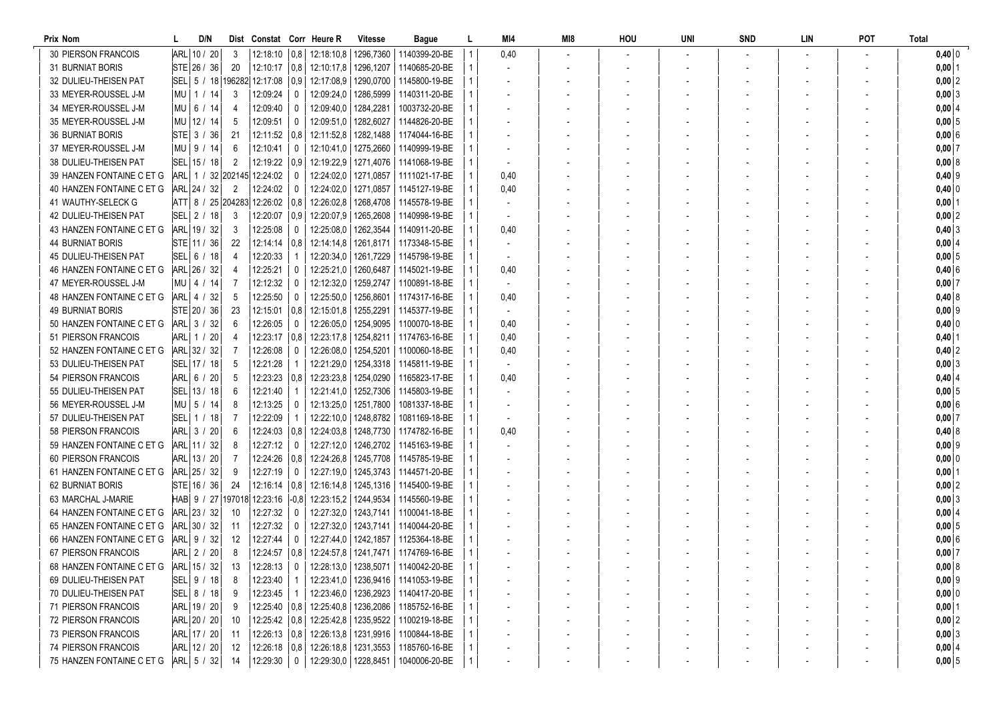| Prix Nom                   | D/N           |                |                                     |                | Dist Constat Corr Heure R               | <b>Vitesse</b>         | Bague                                                   | L            | MI4                      | MI8 | HOU | UNI | <b>SND</b> | LIN | POT | <b>Total</b>   |
|----------------------------|---------------|----------------|-------------------------------------|----------------|-----------------------------------------|------------------------|---------------------------------------------------------|--------------|--------------------------|-----|-----|-----|------------|-----|-----|----------------|
| <b>30 PIERSON FRANCOIS</b> | ARL 10 / 20   | -3             |                                     |                | 12:18:10   0,8   12:18:10,8   1296,7360 |                        | 1140399-20-BE                                           |              | 0,40                     |     |     |     |            |     |     | $0,40$ 0       |
| <b>31 BURNIAT BORIS</b>    | STE 26 / 36   | 20             |                                     |                | 12:10:17   0,8   12:10:17,8   1296,1207 |                        | 1140685-20-BE                                           | $\mathbf{1}$ | $\overline{\phantom{a}}$ |     |     |     |            |     |     | $0,00$ 1       |
| 32 DULIEU-THEISEN PAT      |               |                | SEL 5 / 18 196282 12:17:08 0.9      |                | 12:17:08.9   1290.0700                  |                        | 1145800-19-BE                                           | 1            |                          |     |     |     |            |     |     | $0,00$ 2       |
| 33 MEYER-ROUSSEL J-M       | MU   1 / 14   | -3             | 12:09:24                            | $\mathbf{0}$   | 12:09:24,0   1286,5999                  |                        | 1140311-20-BE                                           |              |                          |     |     |     |            |     |     | $0,00$ 3       |
| 34 MEYER-ROUSSEL J-M       | MU   6 / 14   | -4             | 12:09:40                            | $\mathbf{0}$   | 12:09:40,0   1284,2281                  |                        | 1003732-20-BE                                           |              |                          |     |     |     |            |     |     | 0,0014         |
| 35 MEYER-ROUSSEL J-M       | MU 12 / 14    | -5             | 12:09:51                            | 0              | 12:09:51,0   1282,6027                  |                        | 1144826-20-BE                                           |              |                          |     |     |     |            |     |     | $0,00 \vert 5$ |
| <b>36 BURNIAT BORIS</b>    | STE 3 / 36    | 21             | 12:11:52 0.8                        |                | 12:11:52,8   1282,1488                  |                        | 1174044-16-BE                                           |              |                          |     |     |     |            |     |     | 0,006          |
| 37 MEYER-ROUSSEL J-M       | $MU$   9 / 14 | 6              | 12:10:41                            | $\mathbf{0}$   | 12:10:41.0   1275.2660                  |                        | 1140999-19-BE                                           |              |                          |     |     |     |            |     |     | $0,00$ 7       |
| 38 DULIEU-THEISEN PAT      | SEL 15 / 18   | $\overline{2}$ | $12:19:22$ 0.9                      |                | 12:19:22,9   1271,4076                  |                        | 1141068-19-BE                                           |              |                          |     |     |     |            |     |     | 0,008          |
| 39 HANZEN FONTAINE C ET G  |               |                | ARL 1 / 32 202145 12:24:02          | 0              |                                         | 12:24:02,0   1271,0857 | 1111021-17-BE                                           |              | 0,40                     |     |     |     |            |     |     | $0,40$ 9       |
| 40 HANZEN FONTAINE C ET G  | ARL 24 / 32   | $\overline{2}$ | 12:24:02                            | $\mathbf 0$    | 12:24:02.0   1271.0857                  |                        | 1145127-19-BE                                           |              | 0,40                     |     |     |     |            |     |     | $0,40$ 0       |
| 41 WAUTHY-SELECK G         |               |                | ATT  8 / 25  204283  12:26:02   0.8 |                | 12:26:02.8   1268.4708                  |                        | 1145578-19-BE                                           | 1            |                          |     |     |     |            |     |     | $0,00$   1     |
| 42 DULIEU-THEISEN PAT      | SEL 2 / 18    | 3              | 12:20:07   0,9                      |                | 12:20:07,9   1265,2608                  |                        | 1140998-19-BE                                           |              | $\overline{\phantom{a}}$ |     |     |     |            |     |     | $0,00$ 2       |
| 43 HANZEN FONTAINE C ET G  | ARL 19 / 32   | 3              | 12:25:08                            | 0              | 12:25:08,0   1262,3544                  |                        | 1140911-20-BE                                           |              | 0,40                     |     |     |     |            |     |     | 0,403          |
| <b>44 BURNIAT BORIS</b>    | $STE$ 11 / 36 | 22             | $12:14:14$   0,8                    |                | 12:14:14,8   1261,8171                  |                        | 1173348-15-BE                                           |              |                          |     |     |     |            |     |     | 0,00   4       |
| 45 DULIEU-THEISEN PAT      |               | -4             | 12:20:33                            |                |                                         | 12:20:34,0   1261,7229 | 1145798-19-BE                                           |              |                          |     |     |     |            |     |     | 0,005          |
| 46 HANZEN FONTAINE C ET G  | ARL 26 / 32   |                | 12:25:21                            | 0              | 12:25:21,0   1260,6487                  |                        | 1145021-19-BE                                           |              | 0,40                     |     |     |     |            |     |     | 0,406          |
| 47 MEYER-ROUSSEL J-M       | $MU$   4 / 14 |                | 12:12:32                            | 0              | 12:12:32,0   1259,2747                  |                        | 1100891-18-BE                                           |              |                          |     |     |     |            |     |     | $0,00$ 7       |
| 48 HANZEN FONTAINE C ET G  | ARL 4 / 32    | -5             | 12:25:50                            | $\overline{0}$ | 12:25:50,0   1256,8601                  |                        | 1174317-16-BE                                           |              | 0,40                     |     |     |     |            |     |     | $0,40$ 8       |
| <b>49 BURNIAT BORIS</b>    | STE 20 / 36   | 23             | $12:15:01$ 0,8                      |                | 12:15:01.8   1255.2291                  |                        | 1145377-19-BE                                           | $\mathbf{1}$ | $\overline{\phantom{a}}$ |     |     |     |            |     |     | $0,00$ 9       |
| 50 HANZEN FONTAINE C ET G  | ARL 3 / 32    | 6              | 12:26:05                            | $\mathbf{0}$   | 12:26:05,0   1254,9095                  |                        | 1100070-18-BE                                           | 1            | 0,40                     |     |     |     |            |     |     | $0,40$ 0       |
| 51 PIERSON FRANCOIS        | ARL 1 / 20    | 4              | $12:23:17$ 0.8                      |                | 12:23:17,8   1254,8211                  |                        | 1174763-16-BE                                           | 1            | 0,40                     |     |     |     |            |     |     | $0,40$   1     |
| 52 HANZEN FONTAINE C ET G  | ARL 32 / 32   | -7             | 12:26:08                            | 0              | 12:26:08,0   1254,5201                  |                        | 1100060-18-BE                                           |              | 0,40                     |     |     |     |            |     |     | $0,40$ 2       |
| 53 DULIEU-THEISEN PAT      | SEL 17 / 18   | -5             | 12:21:28                            |                | 12:21:29,0   1254,3318                  |                        | 1145811-19-BE                                           |              | $\blacksquare$           |     |     |     |            |     |     | 0,003          |
| 54 PIERSON FRANCOIS        | ARL 6 / 20    | -5             | $12:23:23 \mid 0,8$                 |                | 12:23:23,8   1254,0290                  |                        | 1165823-17-BE                                           |              | 0,40                     |     |     |     |            |     |     | $0,40$ 4       |
| 55 DULIEU-THEISEN PAT      | SEL 13 / 18   | 6              | 12:21:40                            | -1             | 12:21:41,0   1252,7306                  |                        | 1145803-19-BE                                           |              |                          |     |     |     |            |     |     | $0,00 \vert 5$ |
| 56 MEYER-ROUSSEL J-M       | MU 5 / 14     | 8              | 12:13:25                            | 0              | 12:13:25,0   1251,7800                  |                        | 1081337-18-BE                                           |              |                          |     |     |     |            |     |     | 0,006          |
| 57 DULIEU-THEISEN PAT      | SEL 1 / 18    | -7             | 12:22:09                            | -1             | 12:22:10,0   1248,8782                  |                        | 1081169-18-BE                                           |              |                          |     |     |     |            |     |     | $0,00$ 7       |
| 58 PIERSON FRANCOIS        | ARL 3 / 20    | 6              | $12:24:03$ 0.8                      |                | 12:24:03,8   1248,7730                  |                        | 1174782-16-BE                                           |              | 0,40                     |     |     |     |            |     |     | $0,40$ 8       |
| 59 HANZEN FONTAINE C ET G  | ARL 11 / 32   | 8              | 12:27:12                            | $\mathbf{0}$   |                                         | 12:27:12.0   1246.2702 | 1145163-19-BE                                           |              |                          |     |     |     |            |     |     | $0,00$ 9       |
| 60 PIERSON FRANCOIS        | ARL  13 / 20  |                | 12:24:26   0,8                      |                | 12:24:26.8   1245.7708                  |                        | 1145785-19-BE                                           |              | $\overline{\phantom{a}}$ |     |     |     |            |     |     | $0,00$ 0       |
| 61 HANZEN FONTAINE C ET G  | ARL 25 / 32   | -9             | 12:27:19                            | $\mathbf 0$    |                                         | 12:27:19.0   1245.3743 | 1144571-20-BE                                           |              |                          |     |     |     |            |     |     | $0,00$   1     |
| <b>62 BURNIAT BORIS</b>    | $STE$ 16 / 36 | -24            | 12:16:14   0,8                      |                | 12:16:14,8 1245,1316                    |                        | 1145400-19-BE                                           |              |                          |     |     |     |            |     |     | $0,00$ 2       |
| 63 MARCHAL J-MARIE         |               |                | HAB 9 / 27 197018 12:23:16 -0,8     |                | 12:23:15,2   1244,9534                  |                        | 1145560-19-BE                                           |              |                          |     |     |     |            |     |     | 0,003          |
| 64 HANZEN FONTAINE C ET G  | ARL 23 / 32   | -10            | 12:27:32                            | 0              |                                         | 12:27:32.0   1243.7141 | 1100041-18-BE                                           |              |                          |     |     |     |            |     |     | 0,00   4       |
| 65 HANZEN FONTAINE C ET G  | ARL 30 / 32   | -11            | 12:27:32                            | 0              |                                         | 12:27:32,0   1243,7141 | 1140044-20-BE                                           |              |                          |     |     |     |            |     |     | 0,005          |
| 66 HANZEN FONTAINE C ET G  | ARL  9 / 32   | -12            | 12:27:44                            | $\mathbf{0}$   |                                         | 12:27:44.0   1242.1857 | 1125364-18-BE                                           |              |                          |     |     |     |            |     |     | 0,006          |
| 67 PIERSON FRANCOIS        | ARL 2 / 20    | 8              |                                     |                |                                         |                        | 12:24:57   0,8   12:24:57,8   1241,7471   1174769-16-BE | 1            |                          |     |     |     |            |     |     | $0,00$ 7       |
| 68 HANZEN FONTAINE C ET G  | ARL 15 / 32   | 13             | $12:28:13$ 0                        |                |                                         |                        | 12:28:13,0   1238,5071   1140042-20-BE                  | $\mathbf{1}$ |                          |     |     |     |            |     |     | 0,00 8         |
| 69 DULIEU-THEISEN PAT      | SEL  9 / 18   | -8             | 12:23:40   1                        |                |                                         |                        | 12:23:41,0   1236,9416   1141053-19-BE                  |              |                          |     |     |     |            |     |     | $0,00$ 9       |
| 70 DULIEU-THEISEN PAT      | SEL  8 / 18   |                | 12:23:45   1                        |                |                                         | 12:23:46,0   1236,2923 | 1140417-20-BE                                           |              |                          |     |     |     |            |     |     | $0,00$ 0       |
| 71 PIERSON FRANCOIS        | ARL 19 / 20   | - 9            |                                     |                | 12:25:40   0,8   12:25:40,8   1236,2086 |                        | 1185752-16-BE                                           |              |                          |     |     |     |            |     |     | $0,00$ 1       |
| 72 PIERSON FRANCOIS        | ARL 20 / 20   | -10            |                                     |                | 12:25:42   0,8   12:25:42,8   1235,9522 |                        | 1100219-18-BE                                           |              |                          |     |     |     |            |     |     | $0,00$ 2       |
| <b>73 PIERSON FRANCOIS</b> | ARL 17 / 20   | - 11           |                                     |                | 12:26:13   0.8   12:26:13.8   1231.9916 |                        | 1100844-18-BE                                           |              |                          |     |     |     |            |     |     | $0,00$ 3       |
| 74 PIERSON FRANCOIS        | ARL 12 / 20   | - 12           |                                     |                | 12:26:18   0,8   12:26:18,8   1231,3553 |                        | 1185760-16-BE                                           |              |                          |     |     |     |            |     |     | $0,00$ 4       |
| 75 HANZEN FONTAINE C ET G  | ARL 5 / 32    | -14            | $12:29:30$ 0                        |                |                                         |                        | 12:29:30,0   1228,8451   1040006-20-BE                  |              |                          |     |     |     |            |     |     | $0,00$ 5       |